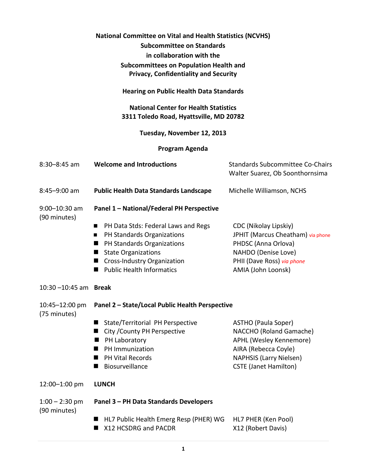| National Committee on Vital and Health Statistics (NCVHS)<br><b>Subcommittee on Standards</b><br>in collaboration with the<br><b>Subcommittees on Population Health and</b><br><b>Privacy, Confidentiality and Security</b> |                                                                                                                                                                                                                                                                          |                                                                                                                                                                     |  |  |
|-----------------------------------------------------------------------------------------------------------------------------------------------------------------------------------------------------------------------------|--------------------------------------------------------------------------------------------------------------------------------------------------------------------------------------------------------------------------------------------------------------------------|---------------------------------------------------------------------------------------------------------------------------------------------------------------------|--|--|
|                                                                                                                                                                                                                             | <b>Hearing on Public Health Data Standards</b>                                                                                                                                                                                                                           |                                                                                                                                                                     |  |  |
|                                                                                                                                                                                                                             | <b>National Center for Health Statistics</b><br>3311 Toledo Road, Hyattsville, MD 20782                                                                                                                                                                                  |                                                                                                                                                                     |  |  |
|                                                                                                                                                                                                                             | Tuesday, November 12, 2013                                                                                                                                                                                                                                               |                                                                                                                                                                     |  |  |
| Program Agenda                                                                                                                                                                                                              |                                                                                                                                                                                                                                                                          |                                                                                                                                                                     |  |  |
| 8:30-8:45 am                                                                                                                                                                                                                | <b>Welcome and Introductions</b>                                                                                                                                                                                                                                         | <b>Standards Subcommittee Co-Chairs</b><br>Walter Suarez, Ob Soonthornsima                                                                                          |  |  |
| 8:45-9:00 am                                                                                                                                                                                                                | <b>Public Health Data Standards Landscape</b>                                                                                                                                                                                                                            | Michelle Williamson, NCHS                                                                                                                                           |  |  |
| 9:00-10:30 am<br>(90 minutes)                                                                                                                                                                                               | Panel 1 - National/Federal PH Perspective<br>PH Data Stds: Federal Laws and Regs<br>■<br>PH Standards Organizations<br>■<br>PH Standards Organizations<br>■<br><b>State Organizations</b><br>■<br><b>Cross-Industry Organization</b><br>■<br>■ Public Health Informatics | CDC (Nikolay Lipskiy)<br>JPHIT (Marcus Cheatham) via phone<br>PHDSC (Anna Orlova)<br>NAHDO (Denise Love)<br>PHII (Dave Ross) via phone<br>AMIA (John Loonsk)        |  |  |
| $10:30 - 10:45$ am Break                                                                                                                                                                                                    |                                                                                                                                                                                                                                                                          |                                                                                                                                                                     |  |  |
| 10:45-12:00 pm<br>(75 minutes)                                                                                                                                                                                              | Panel 2 - State/Local Public Health Perspective<br>State/Territorial PH Perspective<br>■<br>City / County PH Perspective<br>■<br>PH Laboratory<br>■<br>PH Immunization<br>■<br><b>PH Vital Records</b><br>■<br>Biosurveillance                                           | ASTHO (Paula Soper)<br>NACCHO (Roland Gamache)<br>APHL (Wesley Kennemore)<br>AIRA (Rebecca Coyle)<br><b>NAPHSIS (Larry Nielsen)</b><br><b>CSTE (Janet Hamilton)</b> |  |  |
| 12:00-1:00 pm                                                                                                                                                                                                               | <b>LUNCH</b>                                                                                                                                                                                                                                                             |                                                                                                                                                                     |  |  |
| $1:00 - 2:30$ pm<br>(90 minutes)                                                                                                                                                                                            | Panel 3 - PH Data Standards Developers<br>HL7 Public Health Emerg Resp (PHER) WG<br>X12 HCSDRG and PACDR                                                                                                                                                                 | HL7 PHER (Ken Pool)<br>X12 (Robert Davis)                                                                                                                           |  |  |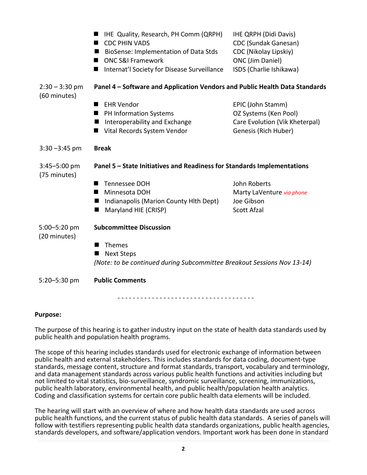|                                  | IHE Quality, Research, PH Comm (QRPH)<br>■<br><b>CDC PHIN VADS</b><br>BioSense: Implementation of Data Stds<br>■<br><b>ONC S&amp;I Framework</b><br>■<br>Internat'l Society for Disease Surveillance | <b>IHE QRPH (Didi Davis)</b><br>CDC (Sundak Ganesan)<br>CDC (Nikolay Lipskiy)<br><b>ONC</b> (Jim Daniel)<br>ISDS (Charlie Ishikawa) |  |
|----------------------------------|------------------------------------------------------------------------------------------------------------------------------------------------------------------------------------------------------|-------------------------------------------------------------------------------------------------------------------------------------|--|
| $2:30 - 3:30$ pm<br>(60 minutes) | Panel 4 - Software and Application Vendors and Public Health Data Standards                                                                                                                          |                                                                                                                                     |  |
|                                  | <b>EHR Vendor</b><br>■<br>PH Information Systems<br>Interoperability and Exchange<br>Vital Records System Vendor                                                                                     | EPIC (John Stamm)<br>OZ Systems (Ken Pool)<br>Care Evolution (Vik Kheterpal)<br>Genesis (Rich Huber)                                |  |
| $3:30 - 3:45$ pm                 | <b>Break</b>                                                                                                                                                                                         |                                                                                                                                     |  |
| $3:45 - 5:00$ pm<br>(75 minutes) | Panel 5 - State Initiatives and Readiness for Standards Implementations                                                                                                                              |                                                                                                                                     |  |
|                                  | Tennessee DOH<br>■<br>Minnesota DOH<br>Indianapolis (Marion County Hlth Dept)<br>Maryland HIE (CRISP)                                                                                                | John Roberts<br>Marty LaVenture via phone<br>Joe Gibson<br><b>Scott Afzal</b>                                                       |  |
| 5:00-5:20 pm<br>(20 minutes)     | <b>Subcommittee Discussion</b><br>Themes                                                                                                                                                             |                                                                                                                                     |  |
|                                  | <b>Next Steps</b><br>(Note: to be continued during Subcommittee Breakout Sessions Nov 13-14)                                                                                                         |                                                                                                                                     |  |
| 5:20-5:30 pm                     | <b>Public Comments</b>                                                                                                                                                                               |                                                                                                                                     |  |
|                                  |                                                                                                                                                                                                      |                                                                                                                                     |  |

## **Purpose:**

The purpose of this hearing is to gather industry input on the state of health data standards used by public health and population health programs.

The scope of this hearing includes standards used for electronic exchange of information between public health and external stakeholders. This includes standards for data coding, document-type standards, message content, structure and format standards, transport, vocabulary and terminology, and data management standards across various public health functions and activities including but not limited to vital statistics, bio-surveillance, syndromic surveillance, screening, immunizations, public health laboratory, environmental health, and public health/population health analytics. Coding and classification systems for certain core public health data elements will be included.

The hearing will start with an overview of where and how health data standards are used across public health functions, and the current status of public health data standards. A series of panels will follow with testifiers representing public health data standards organizations, public health agencies, standards developers, and software/application vendors. Important work has been done in standard